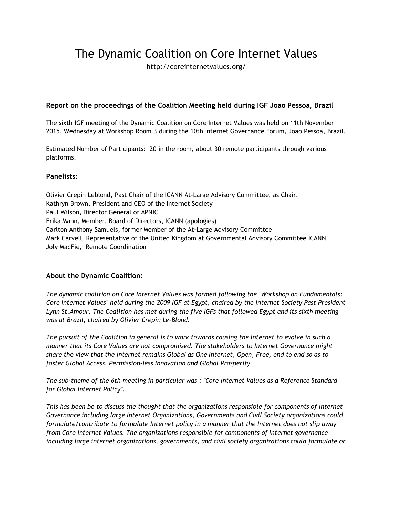# The Dynamic Coalition on Core Internet Values

http://coreinternetvalues.org/

### **Report on the proceedings of the Coalition Meeting held during IGF Joao Pessoa, Brazil**

The sixth IGF meeting of the Dynamic Coalition on Core Internet Values was held on 11th November 2015, Wednesday at Workshop Room 3 during the 10th Internet Governance Forum, Joao Pessoa, Brazil.

Estimated Number of Participants: 20 in the room, about 30 remote participants through various platforms.

#### **Panelists:**

Olivier Crepin Leblond, Past Chair of the ICANN At-Large Advisory Committee, as Chair. Kathryn Brown, President and CEO of the Internet Society Paul Wilson, Director General of APNIC Erika Mann, Member, Board of Directors, ICANN (apologies) Carlton Anthony Samuels, former Member of the At-Large Advisory Committee Mark Carvell, Representative of the United Kingdom at Governmental Advisory Committee ICANN Joly MacFie, Remote Coordination

#### **About the Dynamic Coalition:**

*The dynamic coalition on Core Internet Values was formed following the "Workshop on Fundamentals: Core Internet Values" held during the 2009 IGF at Egypt, chaired by the Internet Society Past President Lynn St.Amour. The Coalition has met during the five IGFs that followed Egypt and its sixth meeting was at Brazil, chaired by Olivier Crepin Le-Blond.*

The pursuit of the Coalition in general is to work towards causing the Internet to evolve in such a *manner that its Core Values are not compromised. The stakeholders to Internet Governance might* share the view that the Internet remains Global as One Internet, Open, Free, end to end so as to *foster Global Access, Permission-less Innovation and Global Prosperity.*

*The sub-theme of the 6th meeting in particular was : "Core Internet Values as a Reference Standard for Global Internet Policy".*

*This has been be to discuss the thought that the organizations responsible for components of Internet Governance including large Internet Organizations, Governments and Civil Society organizations could formulate/contribute to formulate Internet policy in a manner that the Internet does not slip away from Core Internet Values. The organizations responsible for components of Internet governance including large internet organizations, governments, and civil society organizations could formulate or*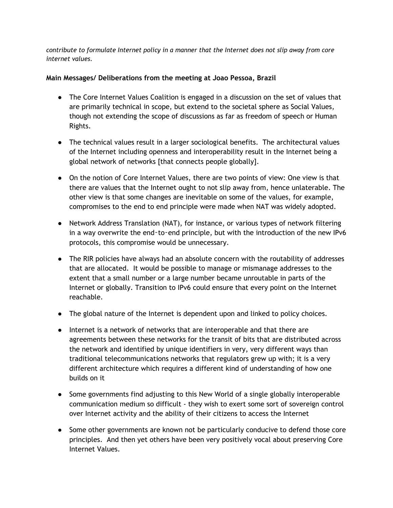*contribute to formulate Internet policy in a manner that the Internet does not slip away from core internet values.*

## **Main Messages/ Deliberations from the meeting at Joao Pessoa, Brazil**

- The Core Internet Values Coalition is engaged in a discussion on the set of values that are primarily technical in scope, but extend to the societal sphere as Social Values, though not extending the scope of discussions as far as freedom of speech or Human Rights.
- The technical values result in a larger sociological benefits. The architectural values of the Internet including openness and interoperability result in the Internet being a global network of networks [that connects people globally].
- On the notion of Core Internet Values, there are two points of view: One view is that there are values that the Internet ought to not slip away from, hence unlaterable. The other view is that some changes are inevitable on some of the values, for example, compromises to the end to end principle were made when NAT was widely adopted.
- Network Address Translation (NAT), for instance, or various types of network filtering in a way overwrite the end-to-end principle, but with the introduction of the new IPv6 protocols, this compromise would be unnecessary.
- The RIR policies have always had an absolute concern with the routability of addresses that are allocated. It would be possible to manage or mismanage addresses to the extent that a small number or a large number became unroutable in parts of the Internet or globally. Transition to IPv6 could ensure that every point on the Internet reachable.
- The global nature of the Internet is dependent upon and linked to policy choices.
- Internet is a network of networks that are interoperable and that there are agreements between these networks for the transit of bits that are distributed across the network and identified by unique identifiers in very, very different ways than traditional telecommunications networks that regulators grew up with; it is a very different architecture which requires a different kind of understanding of how one builds on it
- Some governments find adjusting to this New World of a single globally interoperable communication medium so difficult - they wish to exert some sort of sovereign control over Internet activity and the ability of their citizens to access the Internet
- Some other governments are known not be particularly conducive to defend those core principles. And then yet others have been very positively vocal about preserving Core Internet Values.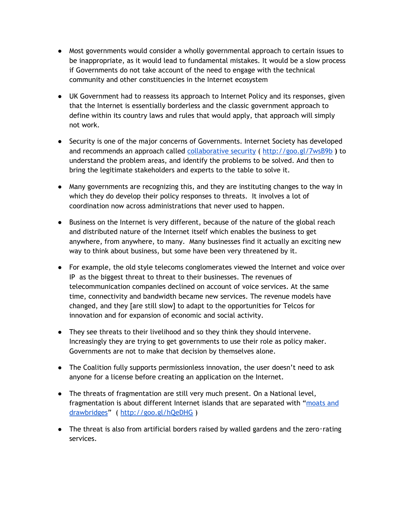- Most governments would consider a wholly governmental approach to certain issues to be inappropriate, as it would lead to fundamental mistakes. It would be a slow process if Governments do not take account of the need to engage with the technical community and other constituencies in the Internet ecosystem
- UK Government had to reassess its approach to Internet Policy and its responses, given that the Internet is essentially borderless and the classic government approach to define within its country laws and rules that would apply, that approach will simply not work.
- Security is one of the major concerns of Governments. Internet Society has developed and recommends an approach called [collaborative](http://www.internetsociety.org/collaborativesecurity) security ( <http://goo.gl/7wsB9b> **)**to understand the problem areas, and identify the problems to be solved. And then to bring the legitimate stakeholders and experts to the table to solve it.
- Many governments are recognizing this, and they are instituting changes to the way in which they do develop their policy responses to threats. It involves a lot of coordination now across administrations that never used to happen.
- Business on the Internet is very different, because of the nature of the global reach and distributed nature of the Internet itself which enables the business to get anywhere, from anywhere, to many. Many businesses find it actually an exciting new way to think about business, but some have been very threatened by it.
- For example, the old style telecoms conglomerates viewed the Internet and voice over IP as the biggest threat to threat to their businesses. The revenues of telecommunication companies declined on account of voice services. At the same time, connectivity and bandwidth became new services. The revenue models have changed, and they [are still slow] to adapt to the opportunities for Telcos for innovation and for expansion of economic and social activity.
- They see threats to their livelihood and so they think they should intervene. Increasingly they are trying to get governments to use their role as policy maker. Governments are not to make that decision by themselves alone.
- The Coalition fully supports permissionless innovation, the user doesn't need to ask anyone for a license before creating an application on the Internet.
- The threats of fragmentation are still very much present. On a National level, fragmentation is about different Internet islands that are separated with ["moats](http://www.internetsociety.org/internet/how-it%E2%80%99s-evolving/future-scenarios/moats-and-drawbridges-scenario) and [drawbridges"](http://www.internetsociety.org/internet/how-it%E2%80%99s-evolving/future-scenarios/moats-and-drawbridges-scenario) ( <http://goo.gl/hQeDHG> )
- The threat is also from artificial borders raised by walled gardens and the zero-rating services.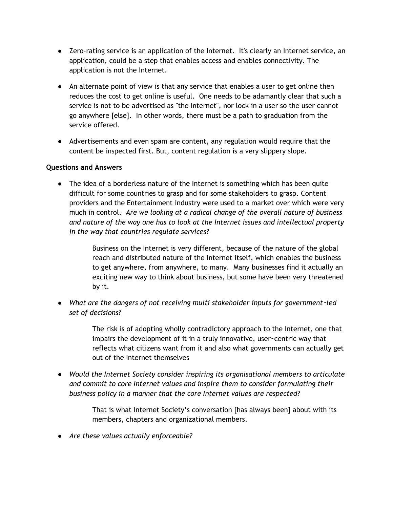- Zero-rating service is an application of the Internet. It's clearly an Internet service, an application, could be a step that enables access and enables connectivity. The application is not the Internet.
- An alternate point of view is that any service that enables a user to get online then reduces the cost to get online is useful. One needs to be adamantly clear that such a service is not to be advertised as "the Internet", nor lock in a user so the user cannot go anywhere [else]. In other words, there must be a path to graduation from the service offered.
- Advertisements and even spam are content, any regulation would require that the content be inspected first. But, content regulation is a very slippery slope.

## **Questions and Answers**

• The idea of a borderless nature of the Internet is something which has been quite difficult for some countries to grasp and for some stakeholders to grasp. Content providers and the Entertainment industry were used to a market over which were very much in control. *Are we looking at a radical change of the overall nature of business and nature of the way one has to look at the Internet issues and intellectual property in the way that countries regulate services?*

> Business on the Internet is very different, because of the nature of the global reach and distributed nature of the Internet itself, which enables the business to get anywhere, from anywhere, to many. Many businesses find it actually an exciting new way to think about business, but some have been very threatened by it.

*● What are the dangers of not receiving multi stakeholder inputs for government*‑*led set of decisions?*

> The risk is of adopting wholly contradictory approach to the Internet, one that impairs the development of it in a truly innovative, user-centric way that reflects what citizens want from it and also what governments can actually get out of the Internet themselves

*● Would the Internet Society consider inspiring its organisational members to articulate and commit to core Internet values and inspire them to consider formulating their business policy in a manner that the core Internet values are respected?*

> That is what Internet Society's conversation [has always been] about with its members, chapters and organizational members.

*● Are these values actually enforceable?*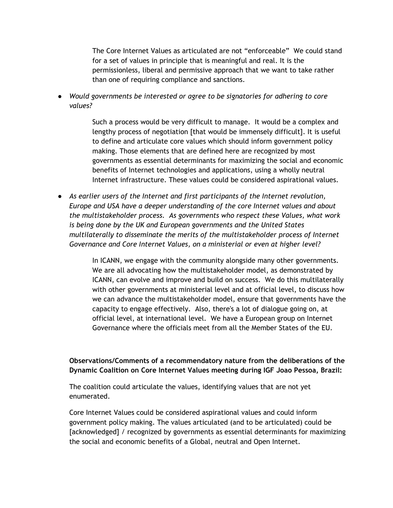The Core Internet Values as articulated are not "enforceable" We could stand for a set of values in principle that is meaningful and real. It is the permissionless, liberal and permissive approach that we want to take rather than one of requiring compliance and sanctions.

● *Would governments be interested or agree to be signatories for adhering to core values?*

> Such a process would be very difficult to manage. It would be a complex and lengthy process of negotiation [that would be immensely difficult]. It is useful to define and articulate core values which should inform government policy making. Those elements that are defined here are recognized by most governments as essential determinants for maximizing the social and economic benefits of Internet technologies and applications, using a wholly neutral Internet infrastructure. These values could be considered aspirational values.

*● As earlier users of the Internet and first participants of the Internet revolution, Europe and USA have a deeper understanding of the core Internet values and about the multistakeholder process. As governments who respect these Values, what work is being done by the UK and European governments and the United States multilaterally to disseminate the merits of the multistakeholder process of Internet Governance and Core Internet Values, on a ministerial or even at higher level?*

> In ICANN, we engage with the community alongside many other governments. We are all advocating how the multistakeholder model, as demonstrated by ICANN, can evolve and improve and build on success. We do this multilaterally with other governments at ministerial level and at official level, to discuss how we can advance the multistakeholder model, ensure that governments have the capacity to engage effectively. Also, there's a lot of dialogue going on, at official level, at international level. We have a European group on Internet Governance where the officials meet from all the Member States of the EU.

## **Observations/Comments of a recommendatory nature from the deliberations of the Dynamic Coalition on Core Internet Values meeting during IGF Joao Pessoa, Brazil:**

The coalition could articulate the values, identifying values that are not yet enumerated.

Core Internet Values could be considered aspirational values and could inform government policy making. The values articulated (and to be articulated) could be [acknowledged] / recognized by governments as essential determinants for maximizing the social and economic benefits of a Global, neutral and Open Internet.